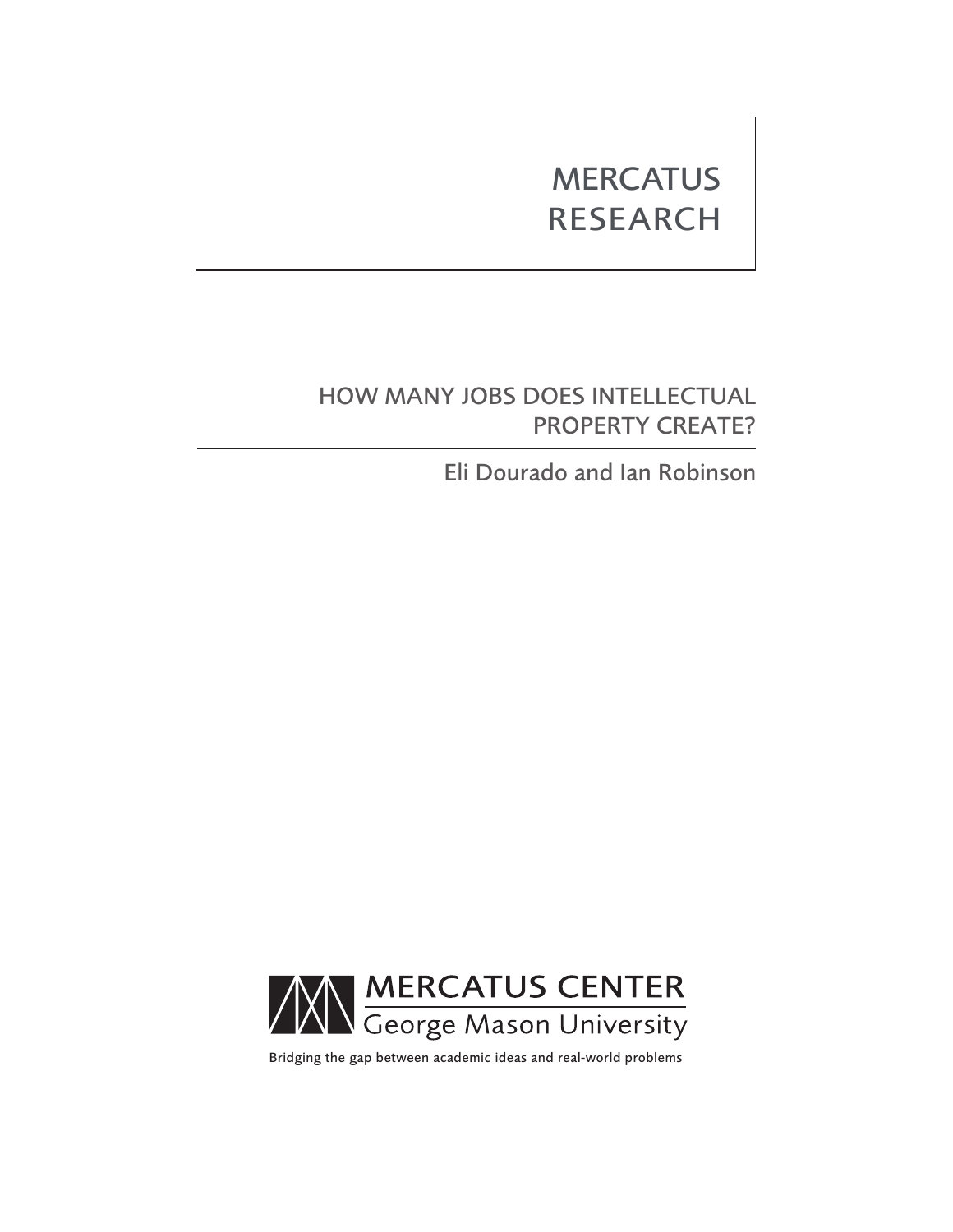# **MERCATUS** RESEARCH

## HOW MANY JOBS DOES INTELLECTUAL PROPERTY CREATE?

Eli Dourado and Ian Robinson



Bridging the gap between academic ideas and real-world problems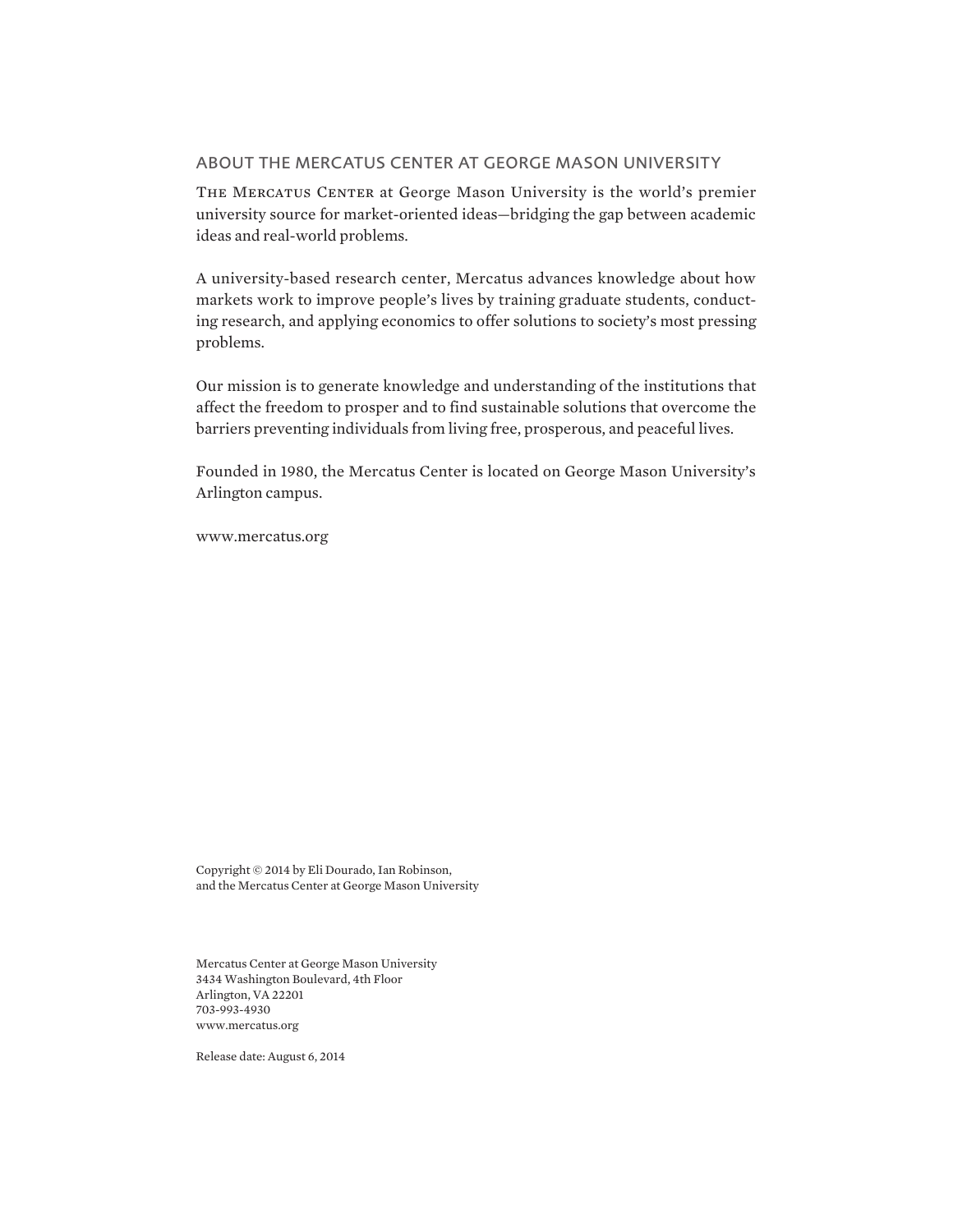#### ABOUT THE MERCATUS CENTER AT GEORGE MASON UNIVERSITY

THE MERCATUS CENTER at George Mason University is the world's premier university source for market-oriented ideas—bridging the gap between academic ideas and real-world problems.

A university-based research center, Mercatus advances knowledge about how markets work to improve people's lives by training graduate students, conducting research, and applying economics to offer solutions to society's most pressing problems.

Our mission is to generate knowledge and understanding of the institutions that affect the freedom to prosper and to find sustainable solutions that overcome the barriers preventing individuals from living free, prosperous, and peaceful lives.

Founded in 1980, the Mercatus Center is located on George Mason University's Arlington campus.

[www.mercatus.org](http://mercatus.org/)

Copyright © 2014 by Eli Dourado, Ian Robinson, and the Mercatus Center at George Mason University

Mercatus Center at George Mason University 3434 Washington Boulevard, 4th Floor Arlington, VA 22201 703-993-4930 [www.mercatus.org](http://mercatus.org/)

Release date: August 6, 2014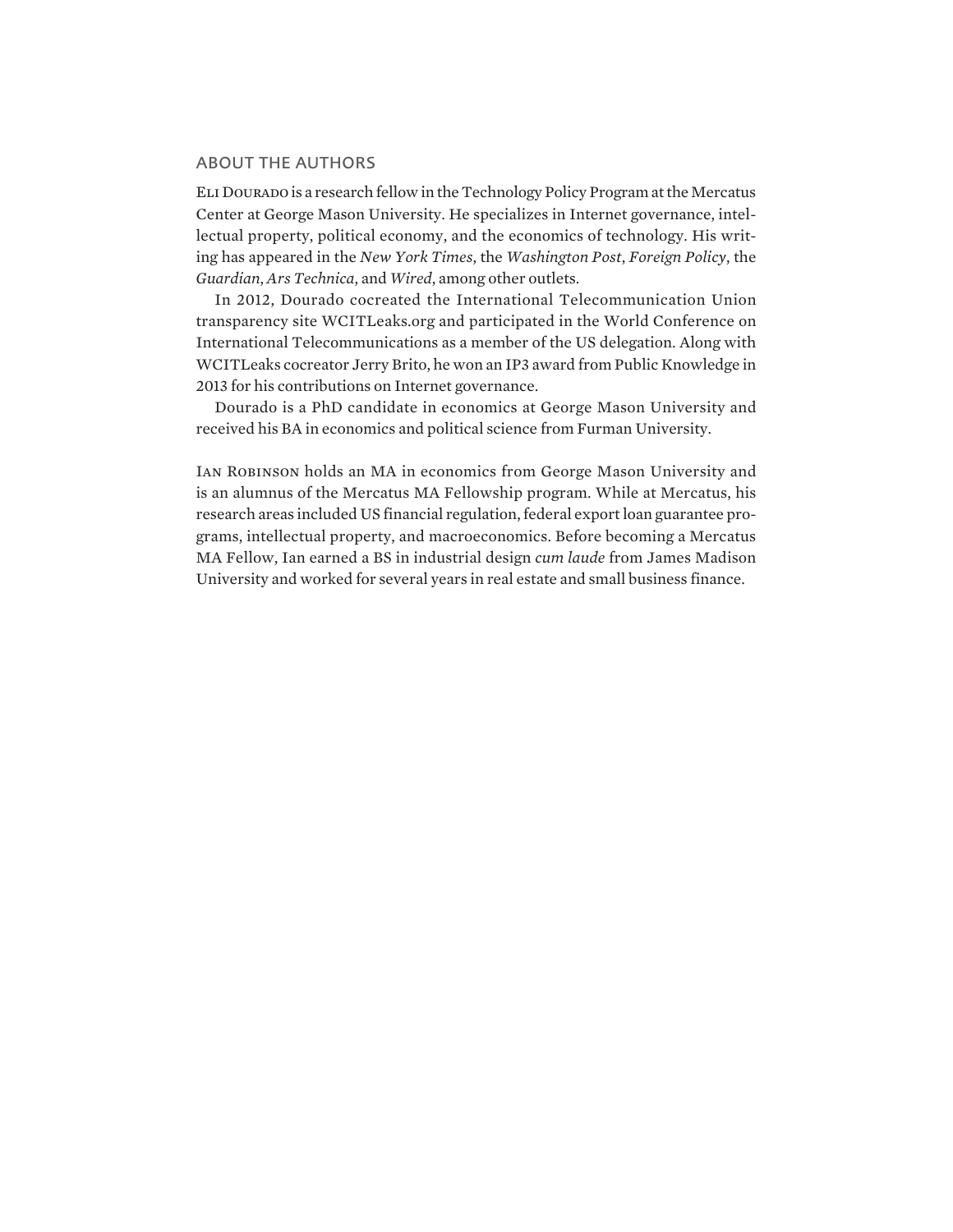#### ABOUT THE AUTHORS

Eli Dourado is a research fellow in the Technology Policy Program at the Mercatus Center at George Mason University. He specializes in Internet governance, intellectual property, political economy, and the economics of technology. His writing has appeared in the *New York Times*, the *Washington Post*, *Foreign Policy*, the *Guardian*, *Ars Technica*, and *Wired*, among other outlets.

In 2012, Dourado cocreated the International Telecommunication Union transparency site WCITLeaks.org and participated in the World Conference on International Telecommunications as a member of the US delegation. Along with WCITLeaks cocreator Jerry Brito, he won an IP3 award from Public Knowledge in 2013 for his contributions on Internet governance.

Dourado is a PhD candidate in economics at George Mason University and received his BA in economics and political science from Furman University.

Ian Robinson holds an MA in economics from George Mason University and is an alumnus of the Mercatus MA Fellowship program. While at Mercatus, his research areas included US financial regulation, federal export loan guarantee programs, intellectual property, and macroeconomics. Before becoming a Mercatus MA Fellow, Ian earned a BS in industrial design *cum laude* from James Madison University and worked for several years in real estate and small business finance.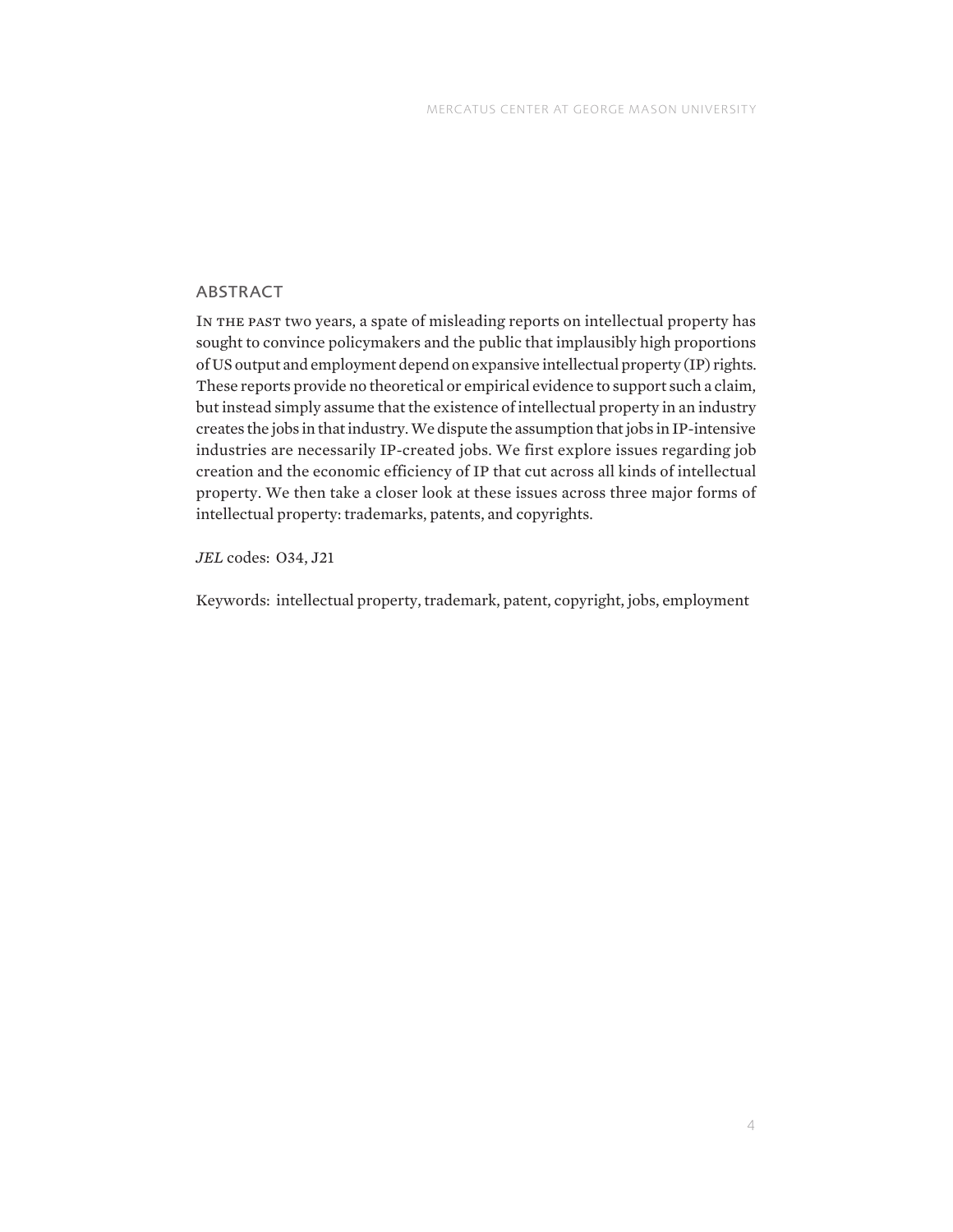### ABSTRACT

In the past two years, a spate of misleading reports on intellectual property has sought to convince policymakers and the public that implausibly high proportions of US output and employment depend on expansive intellectual property (IP) rights. These reports provide no theoretical or empirical evidence to support such a claim, but instead simply assume that the existence of intellectual property in an industry creates the jobs in that industry. We dispute the assumption that jobs in IP-intensive industries are necessarily IP-created jobs. We first explore issues regarding job creation and the economic efficiency of IP that cut across all kinds of intellectual property. We then take a closer look at these issues across three major forms of intellectual property: trademarks, patents, and copyrights.

*JEL* codes: O34, J21

Keywords: intellectual property, trademark, patent, copyright, jobs, employment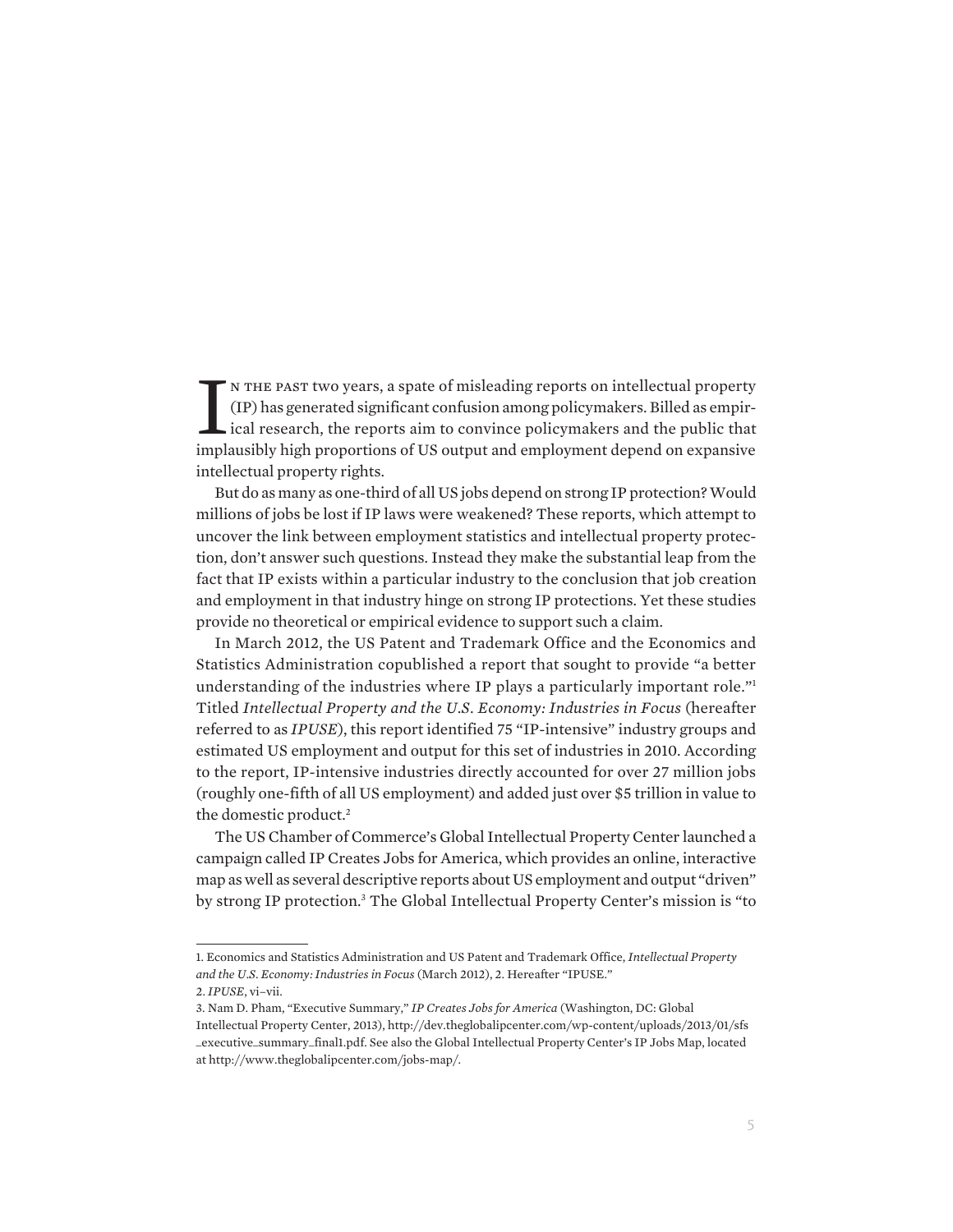IN THE PAST two years, a spate of misleading reports on intellectual property (IP) has generated significant confusion among policymakers. Billed as empirical research, the reports aim to convince policymakers and the publ n the past two years, a spate of misleading reports on intellectual property (IP) has generated significant confusion among policymakers. Billed as empirical research, the reports aim to convince policymakers and the public that intellectual property rights.

But do as many as one-third of all US jobs depend on strong IP protection? Would millions of jobs be lost if IP laws were weakened? These reports, which attempt to uncover the link between employment statistics and intellectual property protection, don't answer such questions. Instead they make the substantial leap from the fact that IP exists within a particular industry to the conclusion that job creation and employment in that industry hinge on strong IP protections. Yet these studies provide no theoretical or empirical evidence to support such a claim.

In March 2012, the US Patent and Trademark Office and the Economics and Statistics Administration copublished a report that sought to provide "a better understanding of the industries where IP plays a particularly important role."<sup>1</sup> Titled *Intellectual Property and the U.S. Economy: Industries in Focus* (hereafter referred to as *IPUSE*), this report identified 75 "IP-intensive" industry groups and estimated US employment and output for this set of industries in 2010. According to the report, IP-intensive industries directly accounted for over 27 million jobs (roughly one-fifth of all US employment) and added just over \$5 trillion in value to the domestic product.<sup>2</sup>

The US Chamber of Commerce's Global Intellectual Property Center launched a campaign called IP Creates Jobs for America, which provides an online, interactive map as well as several descriptive reports about US employment and output "driven" by strong IP protection.<sup>3</sup> The Global Intellectual Property Center's mission is "to

<sup>1.</sup> Economics and Statistics Administration and US Patent and Trademark Office, *Intellectual Property and the U.S. Economy: Industries in Focus* (March 2012), 2. Hereafter "IPUSE."

<sup>2.</sup> *IPUSE*, vi–vii.

<sup>3.</sup> Nam D. Pham, "Executive Summary," *IP Creates Jobs for America* (Washington, DC: Global Intellectual Property Center, 2013), [http://dev.theglobalipcenter.com/wp-content/uploads/2013/01/sfs](http://dev.theglobalipcenter.com/wp-content/uploads/2013/01/sfs_executive_summary_final1.pdf) [\\_executive\\_summary\\_final1.pdf.](http://dev.theglobalipcenter.com/wp-content/uploads/2013/01/sfs_executive_summary_final1.pdf) See also the Global Intellectual Property Center's IP Jobs Map, located at [http://www.theglobalipcenter.com/jobs-map/.](http://www.theglobalipcenter.com/jobs-map/)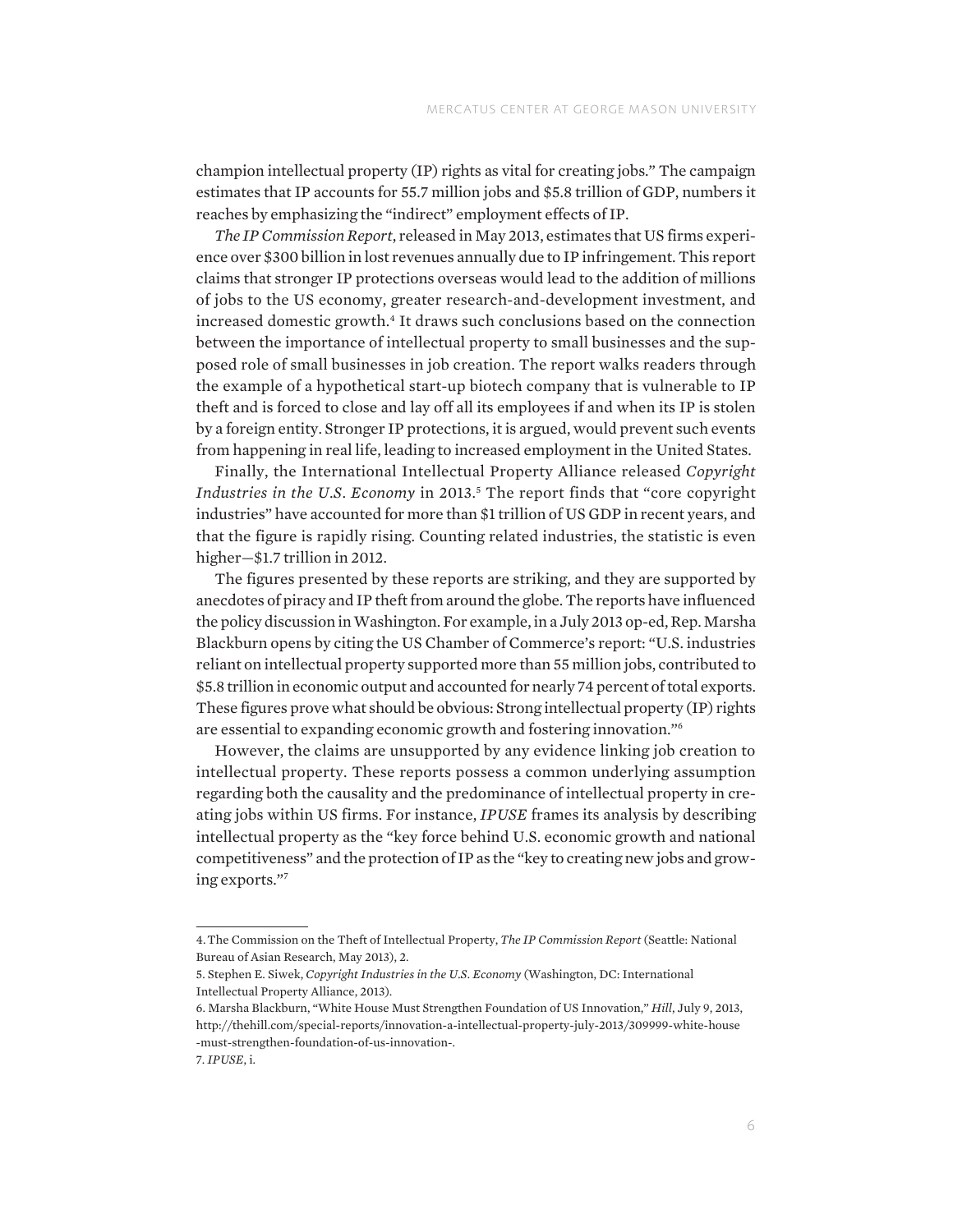champion intellectual property (IP) rights as vital for creating jobs." The campaign estimates that IP accounts for 55.7 million jobs and \$5.8 trillion of GDP, numbers it reaches by emphasizing the "indirect" employment effects of IP.

*The IP Commission Report*, released in May 2013, estimates that US firms experience over \$300 billion in lost revenues annually due to IP infringement. This report claims that stronger IP protections overseas would lead to the addition of millions of jobs to the US economy, greater research-and-development investment, and increased domestic growth.<sup>4</sup> It draws such conclusions based on the connection between the importance of intellectual property to small businesses and the supposed role of small businesses in job creation. The report walks readers through the example of a hypothetical start-up biotech company that is vulnerable to IP theft and is forced to close and lay off all its employees if and when its IP is stolen by a foreign entity. Stronger IP protections, it is argued, would prevent such events from happening in real life, leading to increased employment in the United States.

Finally, the International Intellectual Property Alliance released *Copyright*  Industries in the U.S. Economy in 2013.<sup>5</sup> The report finds that "core copyright industries" have accounted for more than \$1 trillion of US GDP in recent years, and that the figure is rapidly rising. Counting related industries, the statistic is even higher-\$1.7 trillion in 2012.

The figures presented by these reports are striking, and they are supported by anecdotes of piracy and IP theft from around the globe. The reports have influenced the policy discussion in Washington. For example, in a July 2013 op-ed, Rep. Marsha Blackburn opens by citing the US Chamber of Commerce's report: "U.S. industries reliant on intellectual property supported more than 55 million jobs, contributed to \$5.8 trillion in economic output and accounted for nearly 74 percent of total exports. These figures prove what should be obvious: Strong intellectual property (IP) rights are essential to expanding economic growth and fostering innovation."6

However, the claims are unsupported by any evidence linking job creation to intellectual property. These reports possess a common underlying assumption regarding both the causality and the predominance of intellectual property in creating jobs within US firms. For instance, *IPUSE* frames its analysis by describing intellectual property as the "key force behind U.S. economic growth and national competitiveness" and the protection of IP as the "key to creating new jobs and growing exports."7

<sup>4.</sup>The Commission on the Theft of Intellectual Property, *The IP Commission Report* (Seattle: National Bureau of Asian Research, May 2013), 2.

<sup>5.</sup> Stephen E. Siwek, *Copyright Industries in the U.S. Economy* (Washington, DC: International Intellectual Property Alliance, 2013).

<sup>6.</sup> Marsha Blackburn, "White House Must Strengthen Foundation of US Innovation," *Hill*, July 9, 2013, [http://thehill.com/special-reports/innovation-a-intellectual-property-july-2013/309999-white-house](http://thehill.com/special-reports/innovation-a-intellectual-property-july-2013/309999-white-house-must-strengthen-foundation-of-us-innovation-) [-must-strengthen-foundation-of-us-innovation-.](http://thehill.com/special-reports/innovation-a-intellectual-property-july-2013/309999-white-house-must-strengthen-foundation-of-us-innovation-) 7. *IPUSE*, i.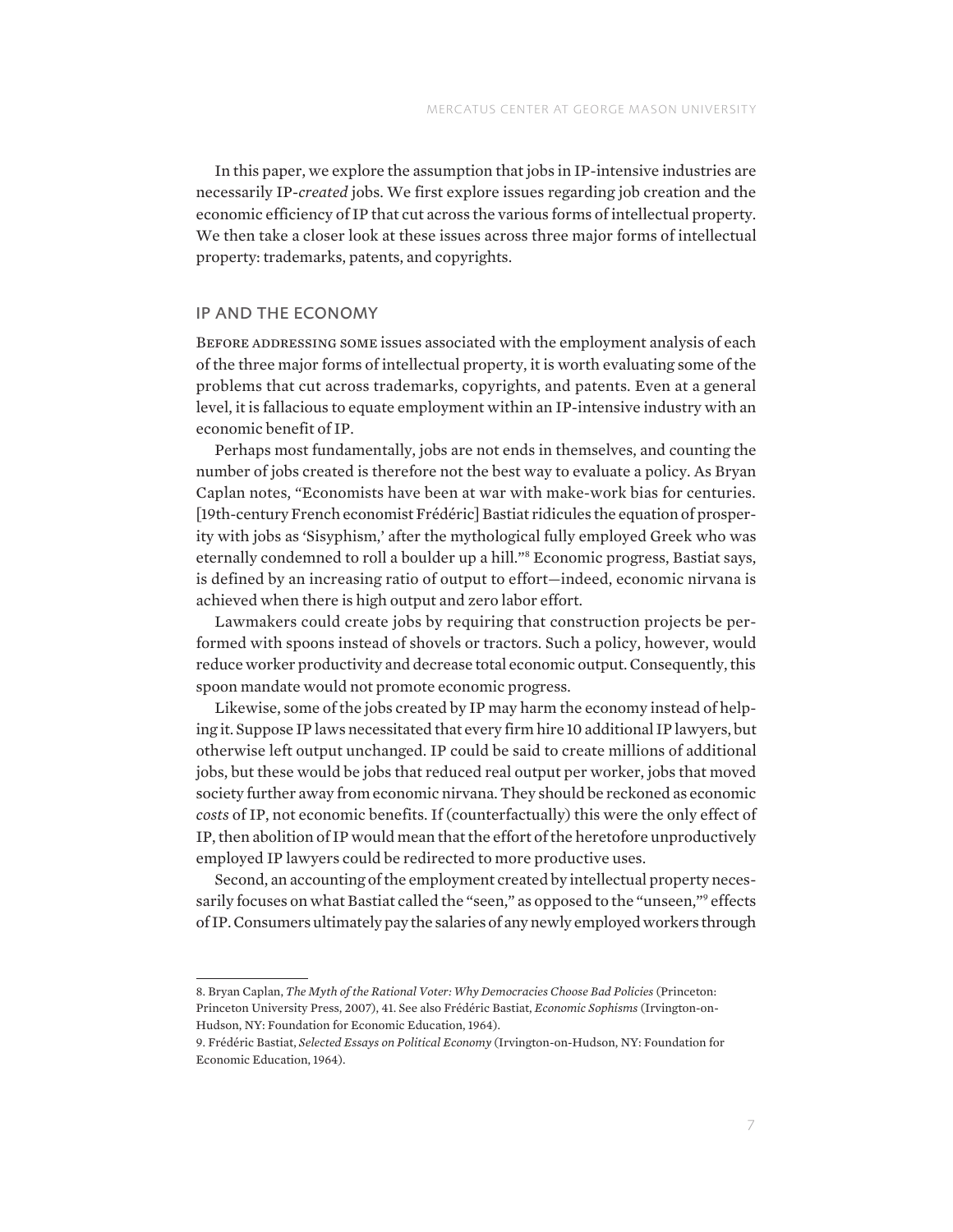In this paper, we explore the assumption that jobs in IP-intensive industries are necessarily IP-*created* jobs. We first explore issues regarding job creation and the economic efficiency of IP that cut across the various forms of intellectual property. We then take a closer look at these issues across three major forms of intellectual property: trademarks, patents, and copyrights.

#### IP AND THE ECONOMY

BEFORE ADDRESSING SOME issues associated with the employment analysis of each of the three major forms of intellectual property, it is worth evaluating some of the problems that cut across trademarks, copyrights, and patents. Even at a general level, it is fallacious to equate employment within an IP-intensive industry with an economic benefit of IP.

Perhaps most fundamentally, jobs are not ends in themselves, and counting the number of jobs created is therefore not the best way to evaluate a policy. As Bryan Caplan notes, "Economists have been at war with make-work bias for centuries. [19th-century French economist Frédéric] Bastiat ridicules the equation of prosperity with jobs as 'Sisyphism,' after the mythological fully employed Greek who was eternally condemned to roll a boulder up a hill."8 Economic progress, Bastiat says, is defined by an increasing ratio of output to effort—indeed, economic nirvana is achieved when there is high output and zero labor effort.

Lawmakers could create jobs by requiring that construction projects be performed with spoons instead of shovels or tractors. Such a policy, however, would reduce worker productivity and decrease total economic output. Consequently, this spoon mandate would not promote economic progress.

Likewise, some of the jobs created by IP may harm the economy instead of helping it. Suppose IP laws necessitated that every firm hire 10 additional IP lawyers, but otherwise left output unchanged. IP could be said to create millions of additional jobs, but these would be jobs that reduced real output per worker, jobs that moved society further away from economic nirvana. They should be reckoned as economic *costs* of IP, not economic benefits. If (counterfactually) this were the only effect of IP, then abolition of IP would mean that the effort of the heretofore unproductively employed IP lawyers could be redirected to more productive uses.

Second, an accounting of the employment created by intellectual property necessarily focuses on what Bastiat called the "seen," as opposed to the "unseen,"<sup>9</sup> effects of IP. Consumers ultimately pay the salaries of any newly employed workers through

<sup>8.</sup> Bryan Caplan, *The Myth of the Rational Voter: Why Democracies Choose Bad Policies* (Princeton: Princeton University Press, 2007), 41. See also Frédéric Bastiat, *Economic Sophisms* (Irvington-on-Hudson, NY: Foundation for Economic Education, 1964).

<sup>9.</sup> Frédéric Bastiat, *Selected Essays on Political Economy* (Irvington-on-Hudson, NY: Foundation for Economic Education, 1964).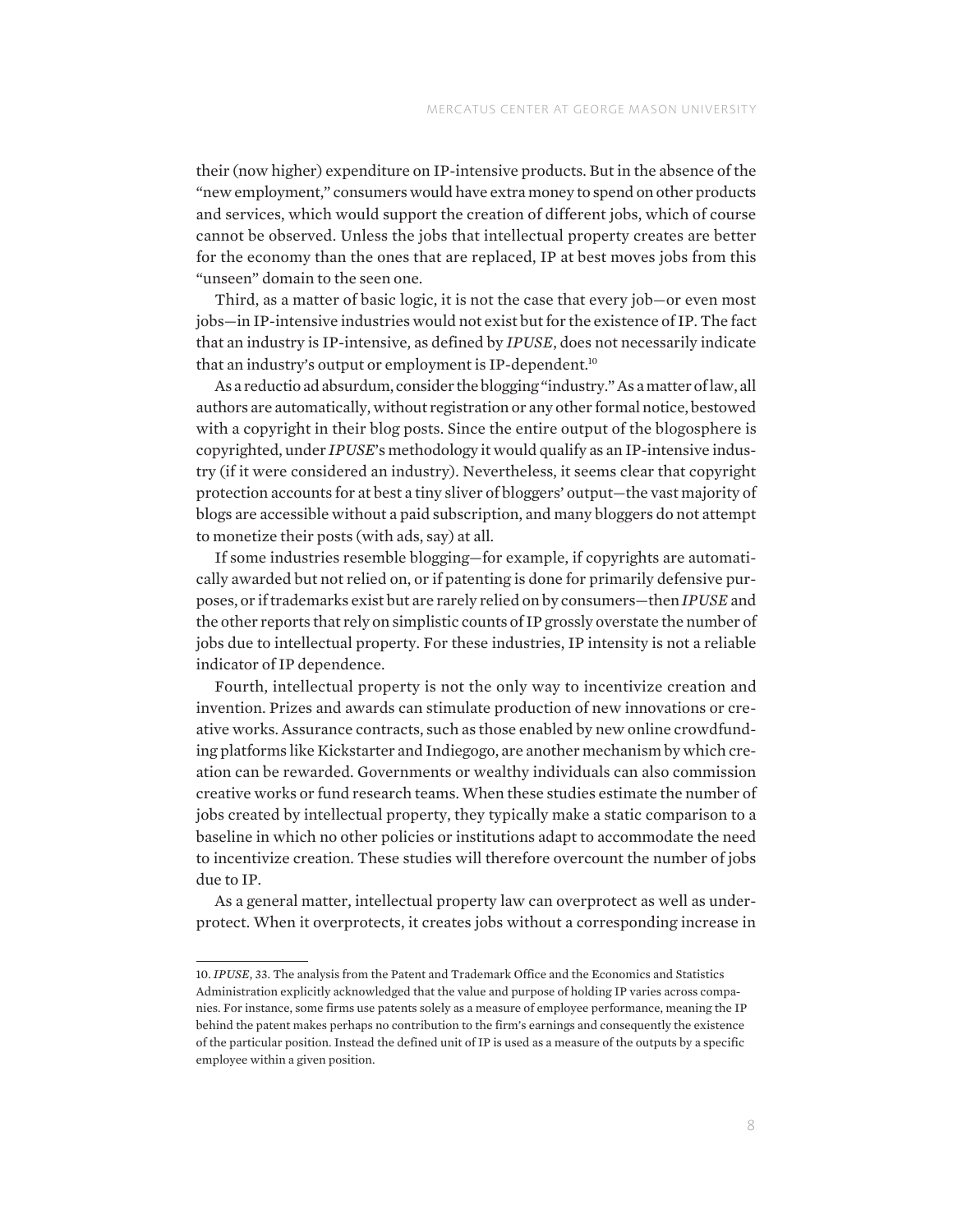their (now higher) expenditure on IP-intensive products. But in the absence of the "new employment," consumers would have extra money to spend on other products and services, which would support the creation of different jobs, which of course cannot be observed. Unless the jobs that intellectual property creates are better for the economy than the ones that are replaced, IP at best moves jobs from this "unseen" domain to the seen one.

Third, as a matter of basic logic, it is not the case that every job—or even most jobs—in IP-intensive industries would not exist but for the existence of IP. The fact that an industry is IP-intensive, as defined by *IPUSE*, does not necessarily indicate that an industry's output or employment is IP-dependent.<sup>10</sup>

As a reductio ad absurdum, consider the blogging "industry." As a matter of law, all authors are automatically, without registration or any other formal notice, bestowed with a copyright in their blog posts. Since the entire output of the blogosphere is copyrighted, under *IPUSE*'s methodology it would qualify as an IP-intensive industry (if it were considered an industry). Nevertheless, it seems clear that copyright protection accounts for at best a tiny sliver of bloggers' output—the vast majority of blogs are accessible without a paid subscription, and many bloggers do not attempt to monetize their posts (with ads, say) at all.

If some industries resemble blogging—for example, if copyrights are automatically awarded but not relied on, or if patenting is done for primarily defensive purposes, or if trademarks exist but are rarely relied on by consumers—then *IPUSE* and the other reports that rely on simplistic counts of IP grossly overstate the number of jobs due to intellectual property. For these industries, IP intensity is not a reliable indicator of IP dependence.

Fourth, intellectual property is not the only way to incentivize creation and invention. Prizes and awards can stimulate production of new innovations or creative works. Assurance contracts, such as those enabled by new online crowdfunding platforms like Kickstarter and Indiegogo, are another mechanism by which creation can be rewarded. Governments or wealthy individuals can also commission creative works or fund research teams. When these studies estimate the number of jobs created by intellectual property, they typically make a static comparison to a baseline in which no other policies or institutions adapt to accommodate the need to incentivize creation. These studies will therefore overcount the number of jobs due to IP.

As a general matter, intellectual property law can overprotect as well as underprotect. When it overprotects, it creates jobs without a corresponding increase in

<sup>10.</sup> *IPUSE*, 33. The analysis from the Patent and Trademark Office and the Economics and Statistics Administration explicitly acknowledged that the value and purpose of holding IP varies across companies. For instance, some firms use patents solely as a measure of employee performance, meaning the IP behind the patent makes perhaps no contribution to the firm's earnings and consequently the existence of the particular position. Instead the defined unit of IP is used as a measure of the outputs by a specific employee within a given position.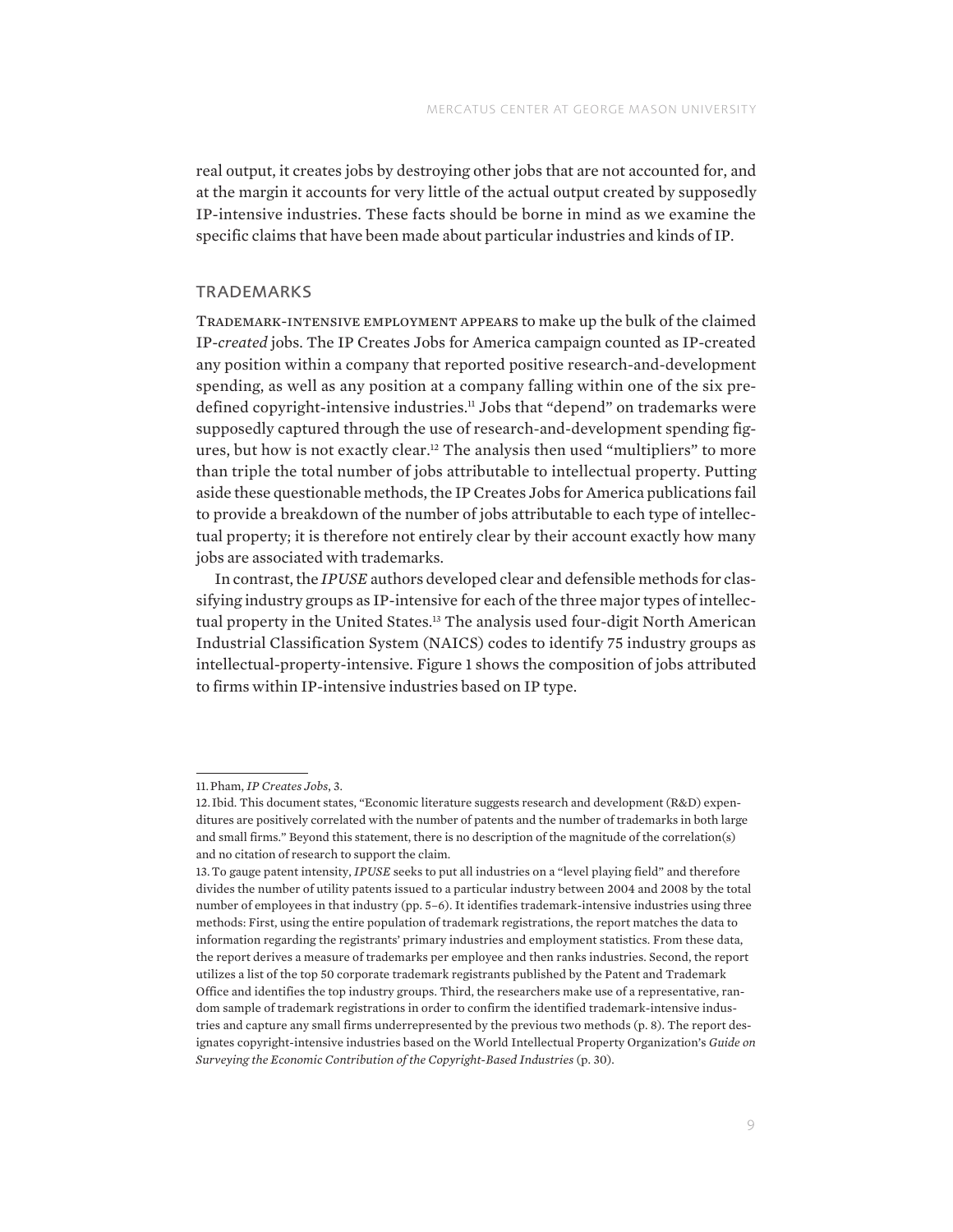real output, it creates jobs by destroying other jobs that are not accounted for, and at the margin it accounts for very little of the actual output created by supposedly IP-intensive industries. These facts should be borne in mind as we examine the specific claims that have been made about particular industries and kinds of IP.

#### **TRADEMARKS**

Trademark-intensive employment appears to make up the bulk of the claimed IP-*created* jobs. The IP Creates Jobs for America campaign counted as IP-created any position within a company that reported positive research-and-development spending, as well as any position at a company falling within one of the six predefined copyright-intensive industries.11 Jobs that "depend" on trademarks were supposedly captured through the use of research-and-development spending figures, but how is not exactly clear.12 The analysis then used "multipliers" to more than triple the total number of jobs attributable to intellectual property. Putting aside these questionable methods, the IP Creates Jobs for America publications fail to provide a breakdown of the number of jobs attributable to each type of intellectual property; it is therefore not entirely clear by their account exactly how many jobs are associated with trademarks.

In contrast, the *IPUSE* authors developed clear and defensible methods for classifying industry groups as IP-intensive for each of the three major types of intellectual property in the United States.13 The analysis used four-digit North American Industrial Classification System (NAICS) codes to identify 75 industry groups as intellectual-property-intensive. Figure 1 shows the composition of jobs attributed to firms within IP-intensive industries based on IP type.

<sup>11.</sup>Pham, *IP Creates Jobs*, 3.

<sup>12.</sup> Ibid. This document states, "Economic literature suggests research and development (R&D) expenditures are positively correlated with the number of patents and the number of trademarks in both large and small firms." Beyond this statement, there is no description of the magnitude of the correlation(s) and no citation of research to support the claim.

<sup>13.</sup>To gauge patent intensity, *IPUSE* seeks to put all industries on a "level playing field" and therefore divides the number of utility patents issued to a particular industry between 2004 and 2008 by the total number of employees in that industry (pp. 5–6). It identifies trademark-intensive industries using three methods: First, using the entire population of trademark registrations, the report matches the data to information regarding the registrants' primary industries and employment statistics. From these data, the report derives a measure of trademarks per employee and then ranks industries. Second, the report utilizes a list of the top 50 corporate trademark registrants published by the Patent and Trademark Office and identifies the top industry groups. Third, the researchers make use of a representative, random sample of trademark registrations in order to confirm the identified trademark-intensive industries and capture any small firms underrepresented by the previous two methods (p. 8). The report designates copyright-intensive industries based on the World Intellectual Property Organization's *Guide on Surveying the Economic Contribution of the Copyright-Based Industries* (p. 30).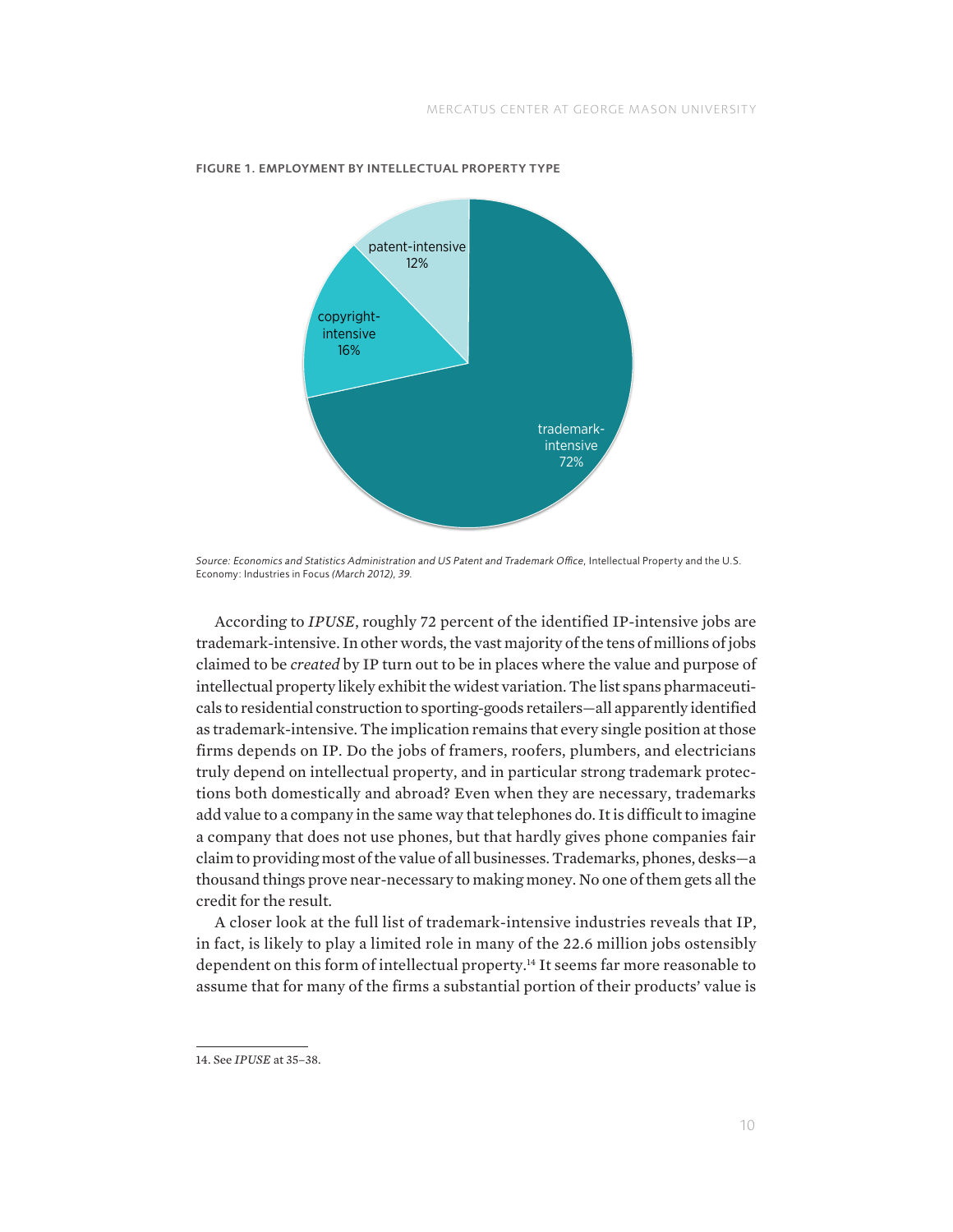

#### FIGURE 1. EMPLOYMENT BY INTELLECTUAL PROPERTY TYPE

*Source: Economics and Statistics Administration and US Patent and Trademark Office,* Intellectual Property and the U.S. Economy: Industries in Focus *(March 2012), 39.*

According to *IPUSE*, roughly 72 percent of the identified IP-intensive jobs are trademark-intensive. In other words, the vast majority of the tens of millions of jobs claimed to be *created* by IP turn out to be in places where the value and purpose of intellectual property likely exhibit the widest variation. The list spans pharmaceuticals to residential construction to sporting-goods retailers—all apparently identified as trademark-intensive. The implication remains that every single position at those firms depends on IP. Do the jobs of framers, roofers, plumbers, and electricians truly depend on intellectual property, and in particular strong trademark protections both domestically and abroad? Even when they are necessary, trademarks add value to a company in the same way that telephones do. It is difficult to imagine a company that does not use phones, but that hardly gives phone companies fair claim to providing most of the value of all businesses. Trademarks, phones, desks—a thousand things prove near-necessary to making money. No one of them gets all the credit for the result.

A closer look at the full list of trademark-intensive industries reveals that IP, in fact, is likely to play a limited role in many of the 22.6 million jobs ostensibly dependent on this form of intellectual property.<sup>14</sup> It seems far more reasonable to assume that for many of the firms a substantial portion of their products' value is

<sup>14.</sup> See *IPUSE* at 35–38.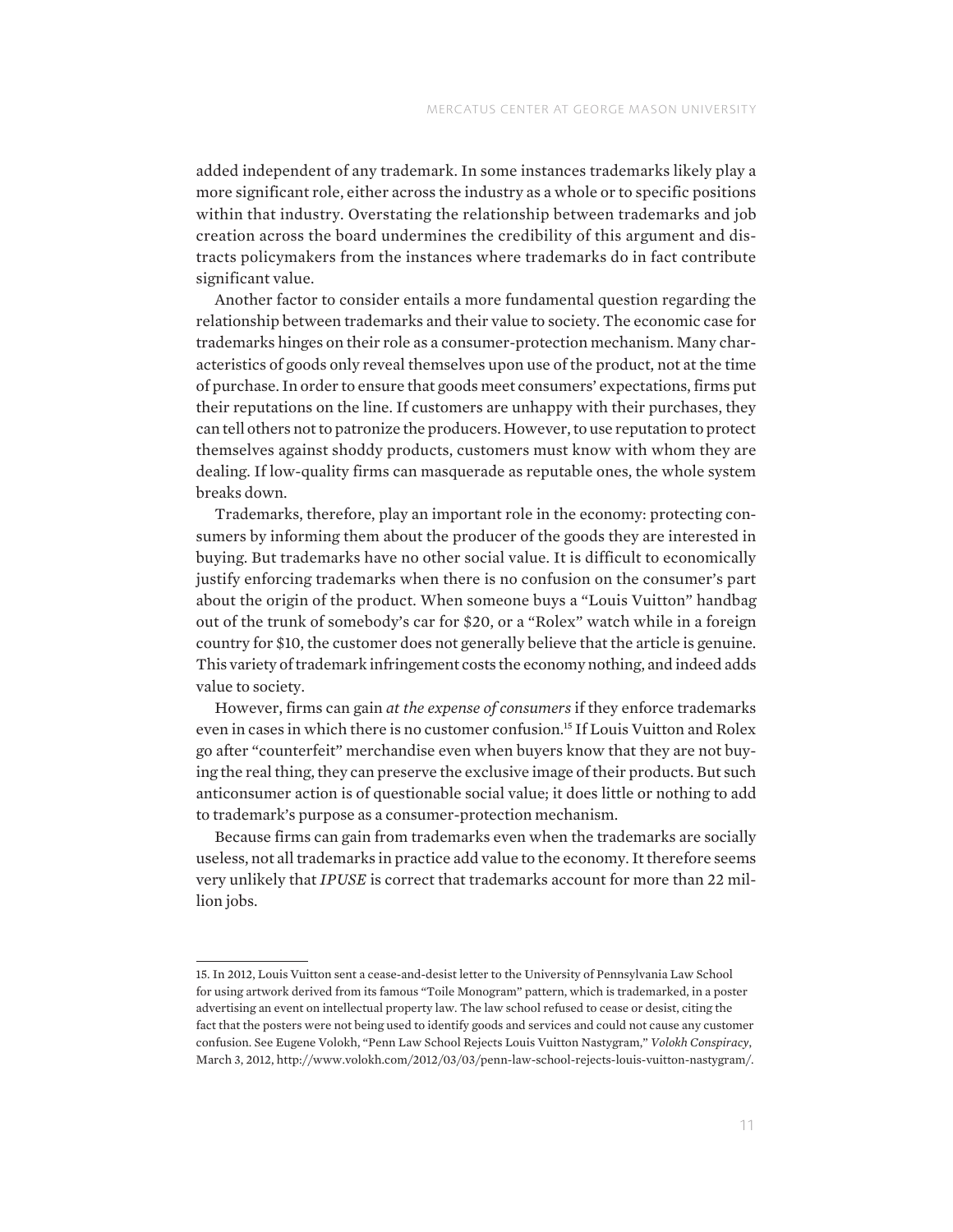added independent of any trademark. In some instances trademarks likely play a more significant role, either across the industry as a whole or to specific positions within that industry. Overstating the relationship between trademarks and job creation across the board undermines the credibility of this argument and distracts policymakers from the instances where trademarks do in fact contribute significant value.

Another factor to consider entails a more fundamental question regarding the relationship between trademarks and their value to society. The economic case for trademarks hinges on their role as a consumer-protection mechanism. Many characteristics of goods only reveal themselves upon use of the product, not at the time of purchase. In order to ensure that goods meet consumers' expectations, firms put their reputations on the line. If customers are unhappy with their purchases, they can tell others not to patronize the producers. However, to use reputation to protect themselves against shoddy products, customers must know with whom they are dealing. If low-quality firms can masquerade as reputable ones, the whole system breaks down.

Trademarks, therefore, play an important role in the economy: protecting consumers by informing them about the producer of the goods they are interested in buying. But trademarks have no other social value. It is difficult to economically justify enforcing trademarks when there is no confusion on the consumer's part about the origin of the product. When someone buys a "Louis Vuitton" handbag out of the trunk of somebody's car for \$20, or a "Rolex" watch while in a foreign country for \$10, the customer does not generally believe that the article is genuine. This variety of trademark infringement costs the economy nothing, and indeed adds value to society.

However, firms can gain *at the expense of consumers* if they enforce trademarks even in cases in which there is no customer confusion.15 If Louis Vuitton and Rolex go after "counterfeit" merchandise even when buyers know that they are not buying the real thing, they can preserve the exclusive image of their products. But such anticonsumer action is of questionable social value; it does little or nothing to add to trademark's purpose as a consumer-protection mechanism.

Because firms can gain from trademarks even when the trademarks are socially useless, not all trademarks in practice add value to the economy. It therefore seems very unlikely that *IPUSE* is correct that trademarks account for more than 22 million jobs.

<sup>15.</sup> In 2012, Louis Vuitton sent a cease-and-desist letter to the University of Pennsylvania Law School for using artwork derived from its famous "Toile Monogram" pattern, which is trademarked, in a poster advertising an event on intellectual property law. The law school refused to cease or desist, citing the fact that the posters were not being used to identify goods and services and could not cause any customer confusion. See Eugene Volokh, "Penn Law School Rejects Louis Vuitton Nastygram," *Volokh Conspiracy*, March 3, 2012, [http://www.volokh.com/2012/03/03/penn-law-school-rejects-louis-vuitton-nastygram/.](http://www.volokh.com/2012/03/03/penn-law-school-rejects-louis-vuitton-nastygram/)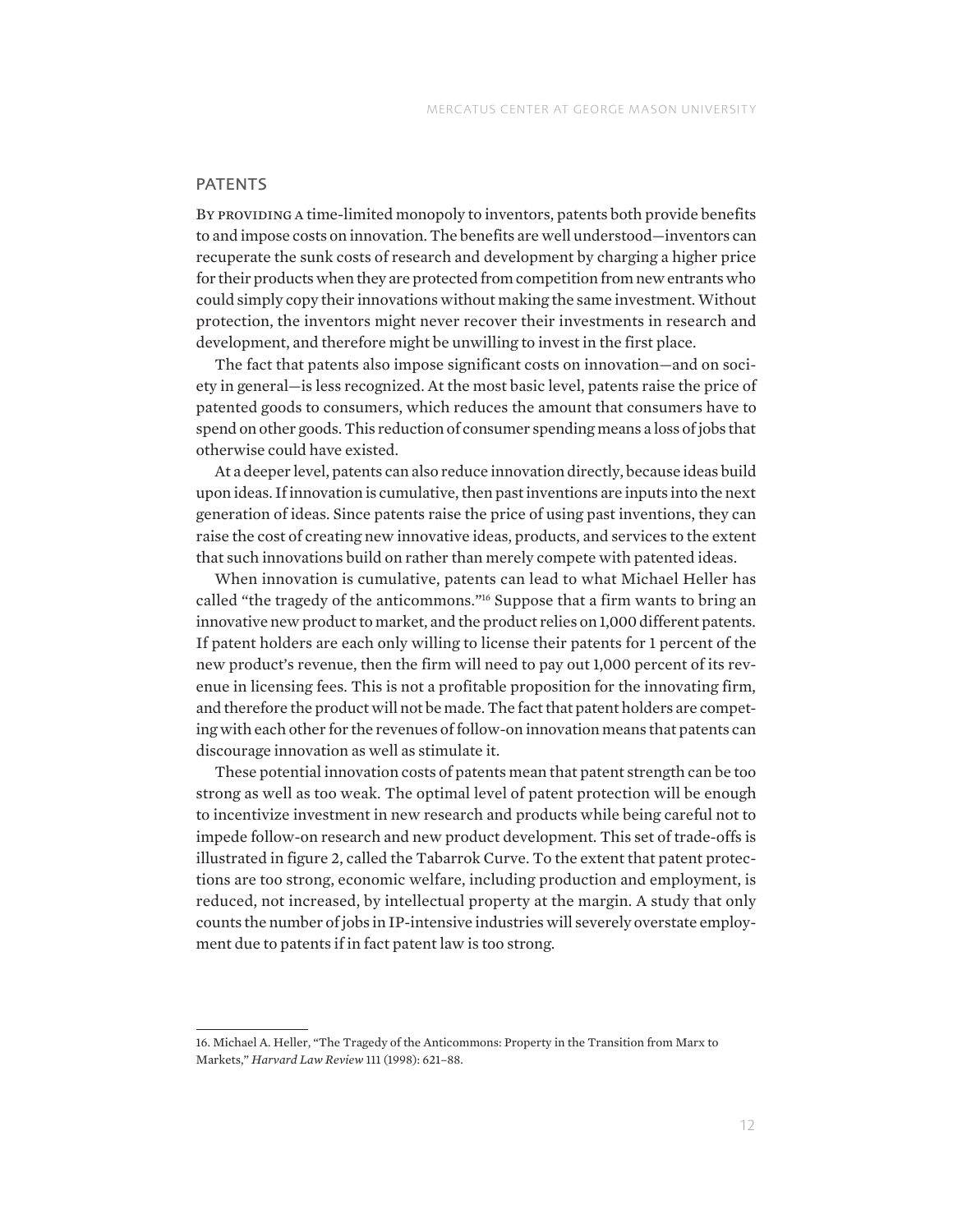#### PATENTS

BY PROVIDING A time-limited monopoly to inventors, patents both provide benefits to and impose costs on innovation. The benefits are well understood—inventors can recuperate the sunk costs of research and development by charging a higher price for their products when they are protected from competition from new entrants who could simply copy their innovations without making the same investment. Without protection, the inventors might never recover their investments in research and development, and therefore might be unwilling to invest in the first place.

The fact that patents also impose significant costs on innovation—and on society in general—is less recognized. At the most basic level, patents raise the price of patented goods to consumers, which reduces the amount that consumers have to spend on other goods. This reduction of consumer spending means a loss of jobs that otherwise could have existed.

At a deeper level, patents can also reduce innovation directly, because ideas build upon ideas. If innovation is cumulative, then past inventions are inputs into the next generation of ideas. Since patents raise the price of using past inventions, they can raise the cost of creating new innovative ideas, products, and services to the extent that such innovations build on rather than merely compete with patented ideas.

When innovation is cumulative, patents can lead to what Michael Heller has called "the tragedy of the anticommons."16 Suppose that a firm wants to bring an innovative new product to market, and the product relies on 1,000 different patents. If patent holders are each only willing to license their patents for 1 percent of the new product's revenue, then the firm will need to pay out 1,000 percent of its revenue in licensing fees. This is not a profitable proposition for the innovating firm, and therefore the product will not be made. The fact that patent holders are competing with each other for the revenues of follow-on innovation means that patents can discourage innovation as well as stimulate it.

These potential innovation costs of patents mean that patent strength can be too strong as well as too weak. The optimal level of patent protection will be enough to incentivize investment in new research and products while being careful not to impede follow-on research and new product development. This set of trade-offs is illustrated in figure 2, called the Tabarrok Curve. To the extent that patent protections are too strong, economic welfare, including production and employment, is reduced, not increased, by intellectual property at the margin. A study that only counts the number of jobs in IP-intensive industries will severely overstate employment due to patents if in fact patent law is too strong.

<sup>16.</sup> Michael A. Heller, "The Tragedy of the Anticommons: Property in the Transition from Marx to Markets," *Harvard Law Review* 111 (1998): 621–88.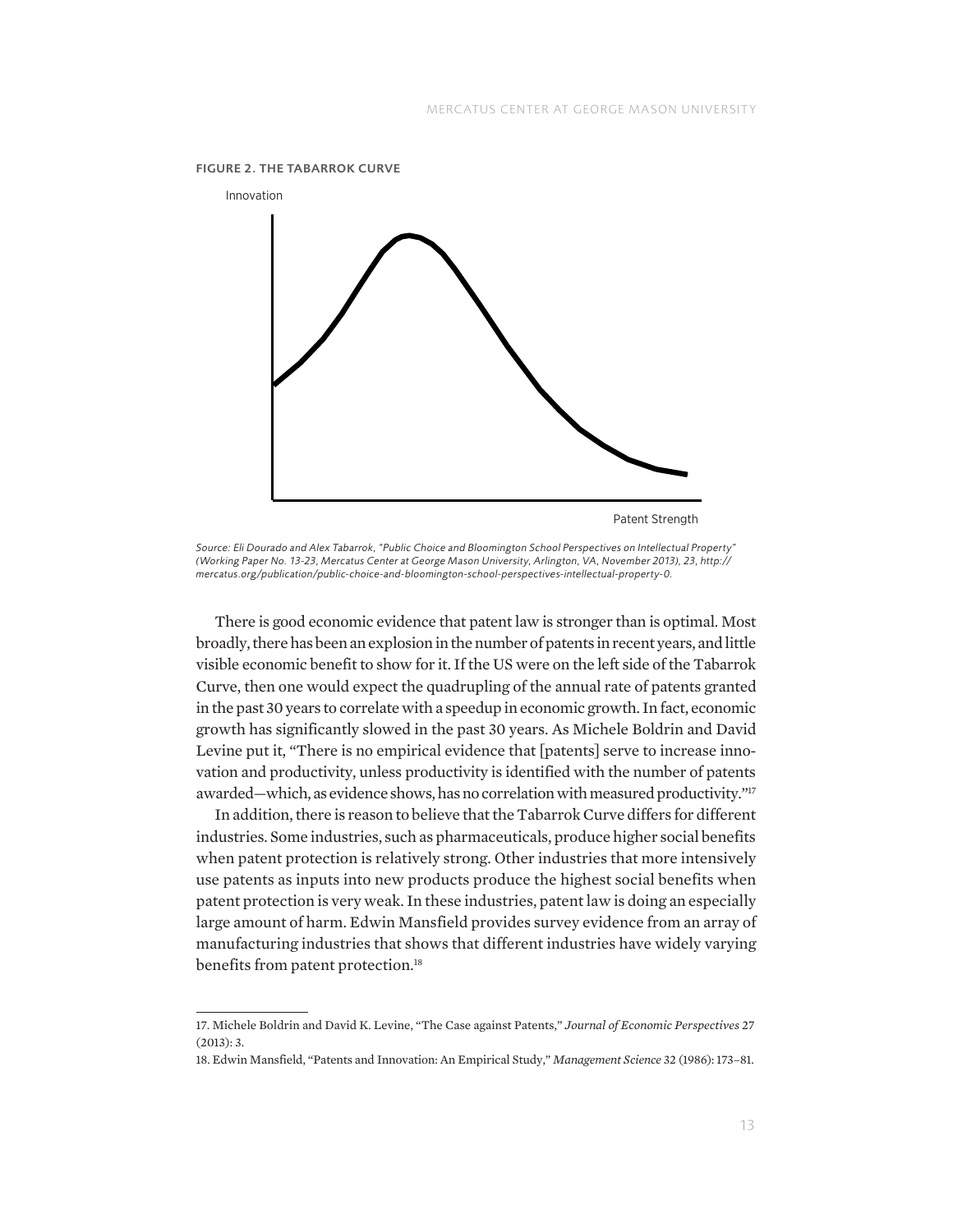

*Source: Eli Dourado and Alex Tabarrok, "Public Choice and Bloomington School Perspectives on Intellectual Property" (Working Paper No. 13-23, Mercatus Center at George Mason University, Arlington, VA, November 2013), 23, [http://](http://mercatus.org/publication/public-choice-and-bloomington-school-perspectives-intellectual-property-0) [mercatus.org/publication/public-choice-and-bloomington-school-perspectives-intellectual-property-0](http://mercatus.org/publication/public-choice-and-bloomington-school-perspectives-intellectual-property-0).*

There is good economic evidence that patent law is stronger than is optimal. Most broadly, there has been an explosion in the number of patents in recent years, and little visible economic benefit to show for it. If the US were on the left side of the Tabarrok Curve, then one would expect the quadrupling of the annual rate of patents granted in the past 30 years to correlate with a speedup in economic growth. In fact, economic growth has significantly slowed in the past 30 years. As Michele Boldrin and David Levine put it, "There is no empirical evidence that [patents] serve to increase innovation and productivity, unless productivity is identified with the number of patents awarded—which, as evidence shows, has no correlation with measured productivity."17

In addition, there is reason to believe that the Tabarrok Curve differs for different industries. Some industries, such as pharmaceuticals, produce higher social benefits when patent protection is relatively strong. Other industries that more intensively use patents as inputs into new products produce the highest social benefits when patent protection is very weak. In these industries, patent law is doing an especially large amount of harm. Edwin Mansfield provides survey evidence from an array of manufacturing industries that shows that different industries have widely varying benefits from patent protection.<sup>18</sup>

<sup>17.</sup> Michele Boldrin and David K. Levine, "The Case against Patents," *Journal of Economic Perspectives* 27  $(2013): 3.$ 

<sup>18.</sup> Edwin Mansfield, "Patents and Innovation: An Empirical Study," *Management Science* 32 (1986): 173–81.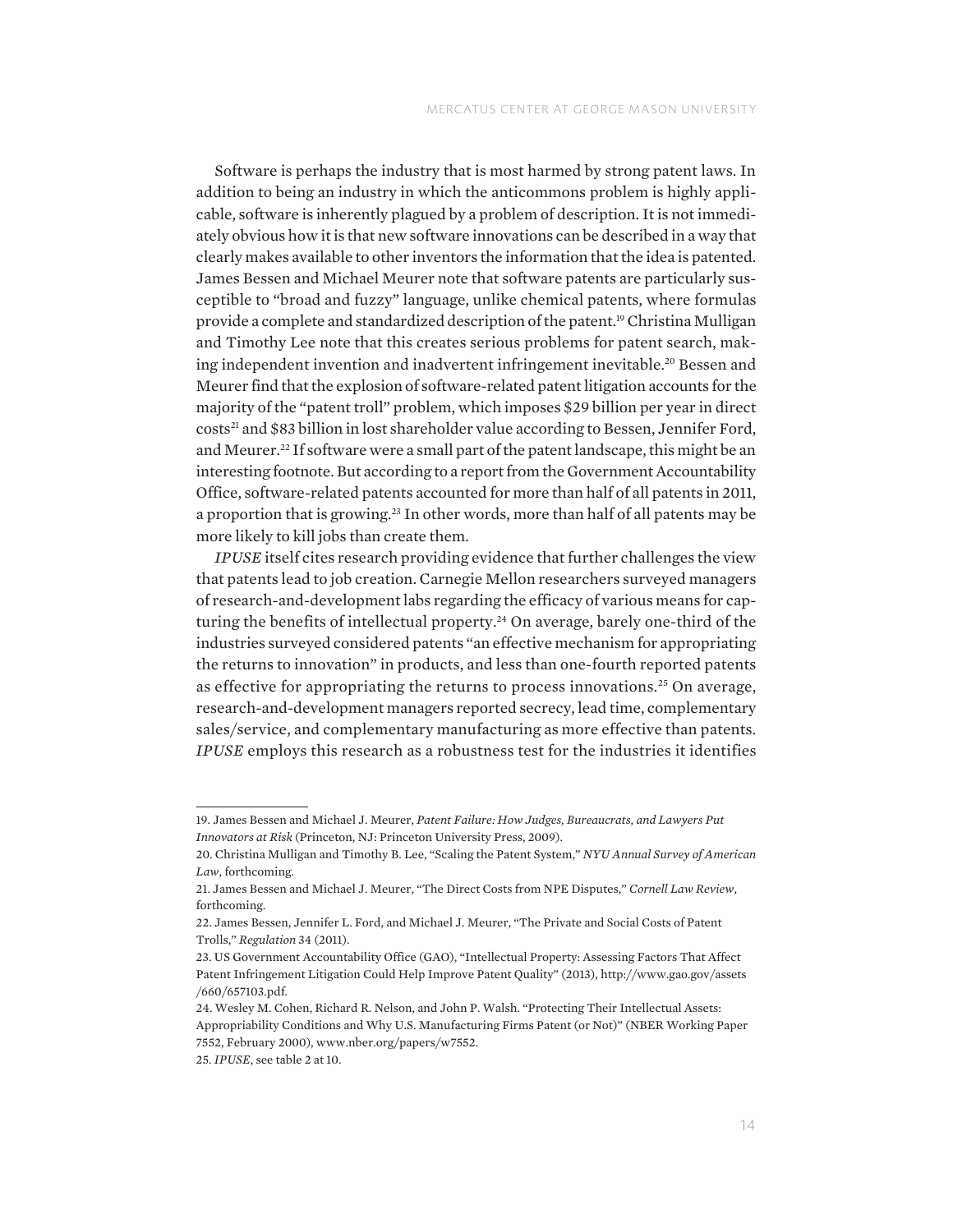Software is perhaps the industry that is most harmed by strong patent laws. In addition to being an industry in which the anticommons problem is highly applicable, software is inherently plagued by a problem of description. It is not immediately obvious how it is that new software innovations can be described in a way that clearly makes available to other inventors the information that the idea is patented. James Bessen and Michael Meurer note that software patents are particularly susceptible to "broad and fuzzy" language, unlike chemical patents, where formulas provide a complete and standardized description of the patent.19 Christina Mulligan and Timothy Lee note that this creates serious problems for patent search, making independent invention and inadvertent infringement inevitable.20 Bessen and Meurer find that the explosion of software-related patent litigation accounts for the majority of the "patent troll" problem, which imposes \$29 billion per year in direct costs<sup>21</sup> and \$83 billion in lost shareholder value according to Bessen, Jennifer Ford, and Meurer.<sup>22</sup> If software were a small part of the patent landscape, this might be an interesting footnote. But according to a report from the Government Accountability Office, software-related patents accounted for more than half of all patents in 2011, a proportion that is growing.<sup>23</sup> In other words, more than half of all patents may be more likely to kill jobs than create them.

*IPUSE* itself cites research providing evidence that further challenges the view that patents lead to job creation. Carnegie Mellon researchers surveyed managers of research-and-development labs regarding the efficacy of various means for capturing the benefits of intellectual property.24 On average, barely one-third of the industries surveyed considered patents "an effective mechanism for appropriating the returns to innovation" in products, and less than one-fourth reported patents as effective for appropriating the returns to process innovations.<sup>25</sup> On average, research-and-development managers reported secrecy, lead time, complementary sales/service, and complementary manufacturing as more effective than patents. *IPUSE* employs this research as a robustness test for the industries it identifies

<sup>19.</sup> James Bessen and Michael J. Meurer, *Patent Failure: How Judges, Bureaucrats, and Lawyers Put Innovators at Risk* (Princeton, NJ: Princeton University Press, 2009).

<sup>20.</sup> Christina Mulligan and Timothy B. Lee, "Scaling the Patent System," *NYU Annual Survey of American Law*, forthcoming.

<sup>21.</sup> James Bessen and Michael J. Meurer, "The Direct Costs from NPE Disputes," *Cornell Law Review*, forthcoming.

<sup>22.</sup> James Bessen, Jennifer L. Ford, and Michael J. Meurer, "The Private and Social Costs of Patent Trolls," *Regulation* 34 (2011).

<sup>23.</sup> US Government Accountability Office (GAO), "Intellectual Property: Assessing Factors That Affect Patent Infringement Litigation Could Help Improve Patent Quality" (2013), [http://www.gao.gov/assets](http://www.gao.gov/assets/660/657103.pdf) [/660/657103.pdf.](http://www.gao.gov/assets/660/657103.pdf)

<sup>24.</sup> Wesley M. Cohen, Richard R. Nelson, and John P. Walsh. "Protecting Their Intellectual Assets: Appropriability Conditions and Why U.S. Manufacturing Firms Patent (or Not)" (NBER Working Paper 7552, February 2000),<www.nber.org/papers/w7552>.

<sup>25.</sup> *IPUSE*, see table 2 at 10.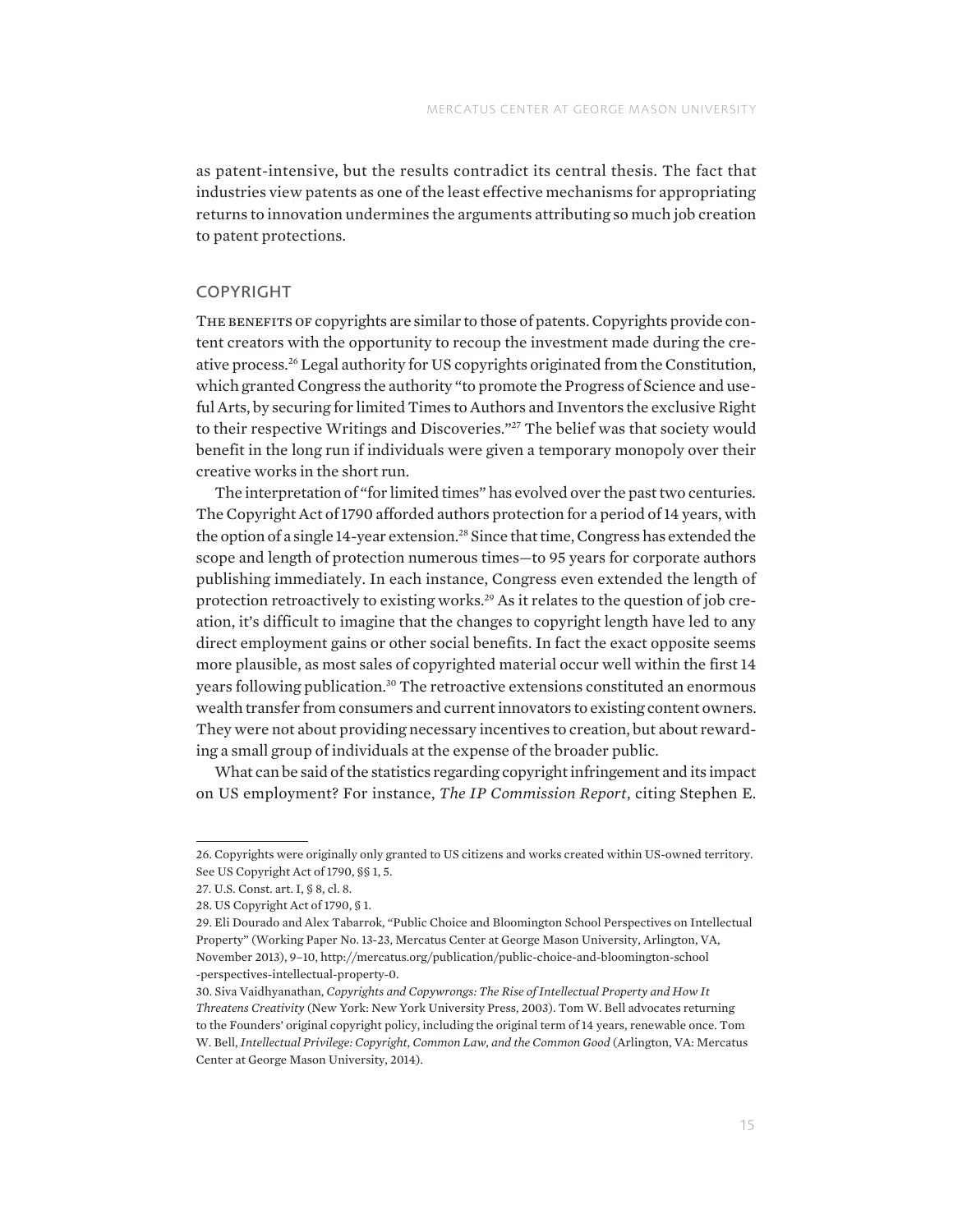as patent-intensive, but the results contradict its central thesis. The fact that industries view patents as one of the least effective mechanisms for appropriating returns to innovation undermines the arguments attributing so much job creation to patent protections.

#### COPYRIGHT

THE BENEFITS OF copyrights are similar to those of patents. Copyrights provide content creators with the opportunity to recoup the investment made during the creative process.26 Legal authority for US copyrights originated from the Constitution, which granted Congress the authority "to promote the Progress of Science and useful Arts, by securing for limited Times to Authors and Inventors the exclusive Right to their respective Writings and Discoveries."<sup>27</sup> The belief was that society would benefit in the long run if individuals were given a temporary monopoly over their creative works in the short run.

The interpretation of "for limited times" has evolved over the past two centuries. The Copyright Act of 1790 afforded authors protection for a period of 14 years, with the option of a single 14-year extension.<sup>28</sup> Since that time, Congress has extended the scope and length of protection numerous times—to 95 years for corporate authors publishing immediately. In each instance, Congress even extended the length of protection retroactively to existing works.<sup>29</sup> As it relates to the question of job creation, it's difficult to imagine that the changes to copyright length have led to any direct employment gains or other social benefits. In fact the exact opposite seems more plausible, as most sales of copyrighted material occur well within the first 14 years following publication.<sup>30</sup> The retroactive extensions constituted an enormous wealth transfer from consumers and current innovators to existing content owners. They were not about providing necessary incentives to creation, but about rewarding a small group of individuals at the expense of the broader public.

What can be said of the statistics regarding copyright infringement and its impact on US employment? For instance, *The IP Commission Report*, citing Stephen E.

<sup>26.</sup> Copyrights were originally only granted to US citizens and works created within US-owned territory. See US Copyright Act of 1790, §§ 1, 5.

<sup>27.</sup> U.S. Const. art. I, § 8, cl. 8.

<sup>28.</sup> US Copyright Act of 1790, § 1.

<sup>29.</sup> Eli Dourado and Alex Tabarrok, "Public Choice and Bloomington School Perspectives on Intellectual Property" (Working Paper No. 13-23, Mercatus Center at George Mason University, Arlington, VA, November 2013), 9–10, [http://mercatus.org/publication/public-choice-and-bloomington-school](http://mercatus.org/publication/public-choice-and-bloomington-school-perspectives-intellectual-property-0) [-perspectives-intellectual-property-0](http://mercatus.org/publication/public-choice-and-bloomington-school-perspectives-intellectual-property-0).

<sup>30.</sup> Siva Vaidhyanathan, *Copyrights and Copywrongs: The Rise of Intellectual Property and How It Threatens Creativity* (New York: New York University Press, 2003). Tom W. Bell advocates returning to the Founders' original copyright policy, including the original term of 14 years, renewable once. Tom W. Bell, *Intellectual Privilege: Copyright, Common Law, and the Common Good* (Arlington, VA: Mercatus Center at George Mason University, 2014).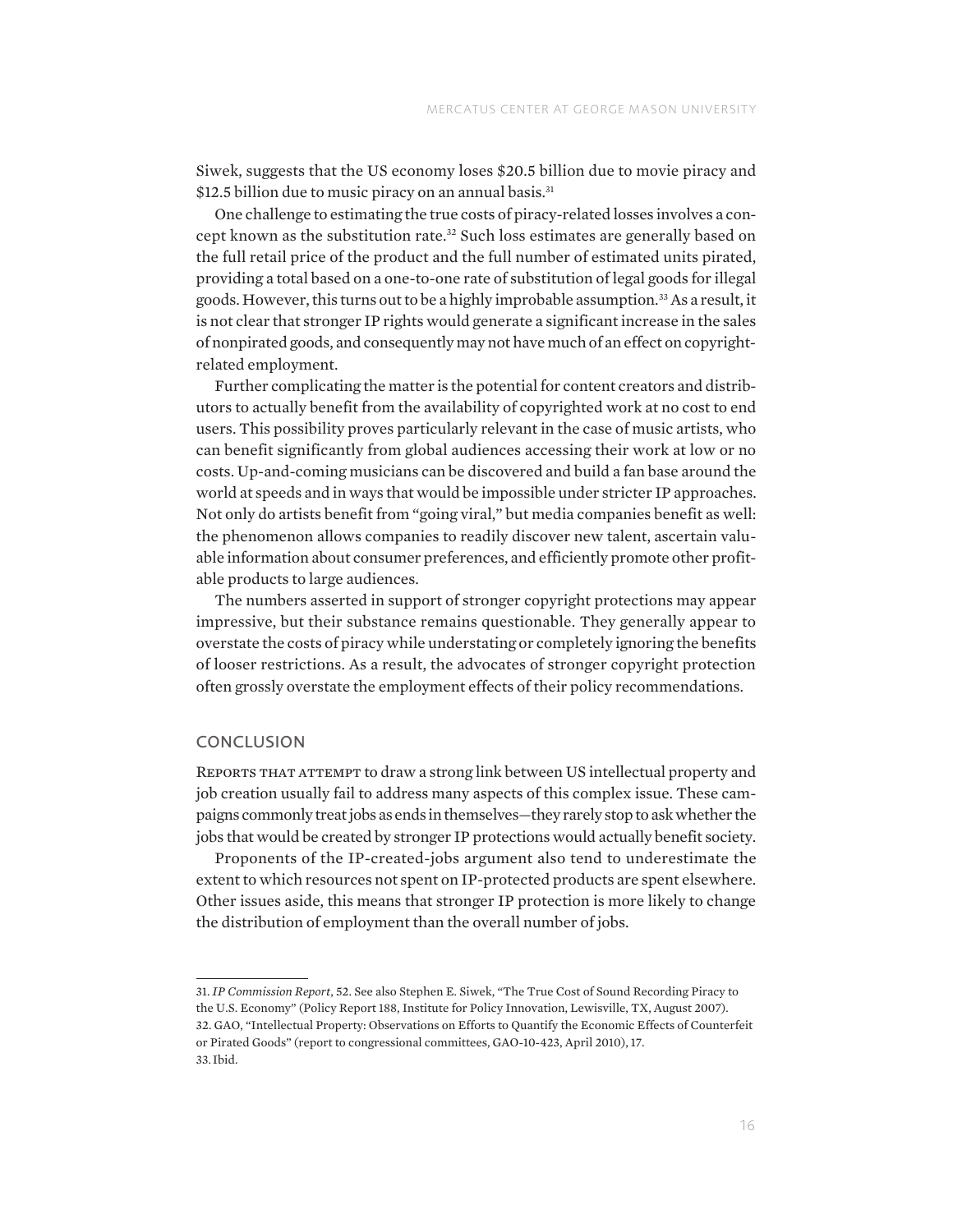Siwek, suggests that the US economy loses \$20.5 billion due to movie piracy and \$12.5 billion due to music piracy on an annual basis.<sup>31</sup>

One challenge to estimating the true costs of piracy-related losses involves a concept known as the substitution rate.<sup>32</sup> Such loss estimates are generally based on the full retail price of the product and the full number of estimated units pirated, providing a total based on a one-to-one rate of substitution of legal goods for illegal goods. However, this turns out to be a highly improbable assumption.33 As a result, it is not clear that stronger IP rights would generate a significant increase in the sales of nonpirated goods, and consequently may not have much of an effect on copyrightrelated employment.

Further complicating the matter is the potential for content creators and distributors to actually benefit from the availability of copyrighted work at no cost to end users. This possibility proves particularly relevant in the case of music artists, who can benefit significantly from global audiences accessing their work at low or no costs. Up-and-coming musicians can be discovered and build a fan base around the world at speeds and in ways that would be impossible under stricter IP approaches. Not only do artists benefit from "going viral," but media companies benefit as well: the phenomenon allows companies to readily discover new talent, ascertain valuable information about consumer preferences, and efficiently promote other profitable products to large audiences.

The numbers asserted in support of stronger copyright protections may appear impressive, but their substance remains questionable. They generally appear to overstate the costs of piracy while understating or completely ignoring the benefits of looser restrictions. As a result, the advocates of stronger copyright protection often grossly overstate the employment effects of their policy recommendations.

#### **CONCLUSION**

Reports that attempt to draw a strong link between US intellectual property and job creation usually fail to address many aspects of this complex issue. These campaigns commonly treat jobs as ends in themselves—they rarely stop to ask whether the jobs that would be created by stronger IP protections would actually benefit society.

Proponents of the IP-created-jobs argument also tend to underestimate the extent to which resources not spent on IP-protected products are spent elsewhere. Other issues aside, this means that stronger IP protection is more likely to change the distribution of employment than the overall number of jobs.

31. *IP Commission Report*, 52. See also Stephen E. Siwek, "The True Cost of Sound Recording Piracy to the U.S. Economy" (Policy Report 188, Institute for Policy Innovation, Lewisville, TX, August 2007). 32. GAO, "Intellectual Property: Observations on Efforts to Quantify the Economic Effects of Counterfeit or Pirated Goods" (report to congressional committees, GAO-10-423, April 2010), 17.

33. Ibid.